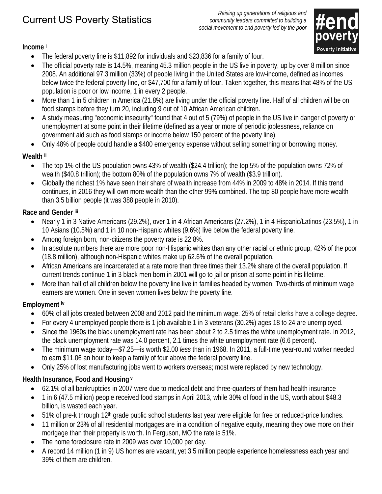# Current US Poverty Statistics

*Raising up generations of religious and community leaders committed to building a social movement to end poverty led by the poor* 



**Income i**

- The federal poverty line is \$11,892 for individuals and \$23,836 for a family of four.
- The official poverty rate is 14.5%, meaning 45.3 million people in the US live in poverty, up by over 8 million since 2008. An additional 97.3 million (33%) of people living in the United States are low-income, defined as incomes below twice the federal poverty line, or \$47,700 for a family of four. Taken together, this means that 48% of the US population is poor or low income, 1 in every 2 people.
- More than 1 in 5 children in America (21.8%) are living under the official poverty line. Half of all children will be on food stamps before they turn 20, including 9 out of 10 African American children.
- A study measuring "economic insecurity" found that 4 out of 5 (79%) of people in the US live in danger of poverty or unemployment at some point in their lifetime (defined as a year or more of periodic joblessness, reliance on government aid such as food stamps or income below 150 percent of the poverty line).
- Only 48% of people could handle a \$400 emergency expense without selling something or borrowing money.

# **Wealth ii**

- The top 1% of the US population owns 43% of wealth (\$24.4 trillion); the top 5% of the population owns 72% of wealth (\$40.8 trillion); the bottom 80% of the population owns 7% of wealth (\$3.9 trillion).
- Globally the richest 1% have seen their share of wealth increase from 44% in 2009 to 48% in 2014. If this trend continues, in 2016 they will own more wealth than the other 99% combined. The top 80 people have more wealth than 3.5 billion people (it was 388 people in 2010).

### **Race and Gender iii**

- Nearly 1 in 3 Native Americans (29.2%), over 1 in 4 African Americans (27.2%), 1 in 4 Hispanic/Latinos (23.5%), 1 in 10 Asians (10.5%) and 1 in 10 non-Hispanic whites (9.6%) live below the federal poverty line.
- Among foreign born, non-citizens the poverty rate is 22.8%.
- In absolute numbers there are more poor non-Hispanic whites than any other racial or ethnic group, 42% of the poor (18.8 million), although non-Hispanic whites make up 62.6% of the overall population.
- African Americans are incarcerated at a rate more than three times their 13.2% share of the overall population. If current trends continue 1 in 3 black men born in 2001 will go to jail or prison at some point in his lifetime.
- More than half of all children below the poverty line live in families headed by women. Two-thirds of minimum wage earners are women. One in seven women lives below the poverty line.

# **Employment iv**

- 60% of all jobs created between 2008 and 2012 paid the minimum wage. 25% of retail clerks have a college degree.
- For every 4 unemployed people there is 1 job available.1 in 3 veterans (30.2%) ages 18 to 24 are unemployed.
- Since the 1960s the black unemployment rate has been about 2 to 2.5 times the white unemployment rate. In 2012, the black unemployment rate was 14.0 percent, 2.1 times the white unemployment rate (6.6 percent).
- The minimum wage today—\$7.25—is worth \$2.00 *less* than in 1968. In 2011, a full-time year-round worker needed to earn \$11.06 an hour to keep a family of four above the federal poverty line.
- Only 25% of lost manufacturing jobs went to workers overseas; most were replaced by new technology.

# **Health Insurance, Food and Housing v**

- 62.1% of all bankruptcies in 2007 were due to medical debt and three-quarters of them had health insurance
- 1 in 6 (47.5 million) people received food stamps in April 2013, while 30% of food in the US, worth about \$48.3 billion, is wasted each year.
- 51% of pre-k through 12<sup>th</sup> grade public school students last year were eligible for free or reduced-price lunches.
- 11 million or 23% of all residential mortgages are in a condition of negative equity, meaning they owe more on their mortgage than their property is worth. In Ferguson, MO the rate is 51%.
- The home foreclosure rate in 2009 was over 10,000 per day.
- A record 14 million (1 in 9) US homes are vacant, yet 3.5 million people experience homelessness each year and 39% of them are children.